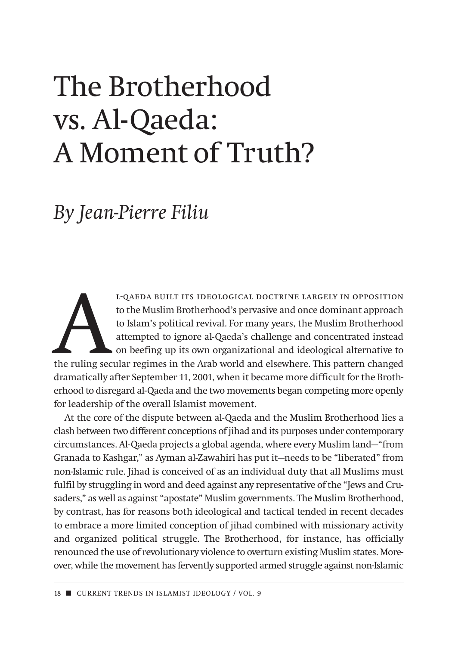# The Brotherhood vs. Al-Qaeda: A Moment of Truth?

## *By Jean-Pierre Filiu*

L-QAEDA BUILT ITS IDEOLOGICAL DOCTRINE LARGELY IN OPPOSITION<br>to the Muslim Brotherhood's pervasive and once dominant approach<br>to Islam's political revival. For many years, the Muslim Brotherhood<br>attempted to ignore al-Qaed to the Muslim Brotherhood's pervasive and once dominant approach to Islam's political revival. For many years, the Muslim Brotherhood attempted to ignore al-Qaeda's challenge and concentrated instead on beefing up its own organizational and ideological alternative to dramatically after September 11, 2001, when it became more difficult for the Brotherhood to disregard al-Qaeda and the two movements began competing more openly for leadership of the overall Islamist movement.

At the core of the dispute between al-Qaeda and the Muslim Brotherhood lies a clash between two different conceptions of jihad and its purposes under contemporary circumstances. Al-Qaeda projects a global agenda, where every Muslim land—"from Granada to Kashgar," as Ayman al-Zawahiri has put it—needs to be "liberated" from non-Islamic rule. Jihad is conceived of as an individual duty that all Muslims must fulfil by struggling in word and deed against any representative of the "Jews and Crusaders," as well as against "apostate" Muslim governments. The Muslim Brotherhood, by contrast, has for reasons both ideological and tactical tended in recent decades to embrace a more limited conception of jihad combined with missionary activity and organized political struggle. The Brotherhood, for instance, has officially renounced the use of revolutionary violence to overturn existing Muslim states. Moreover, while the movement has fervently supported armed struggle against non-Islamic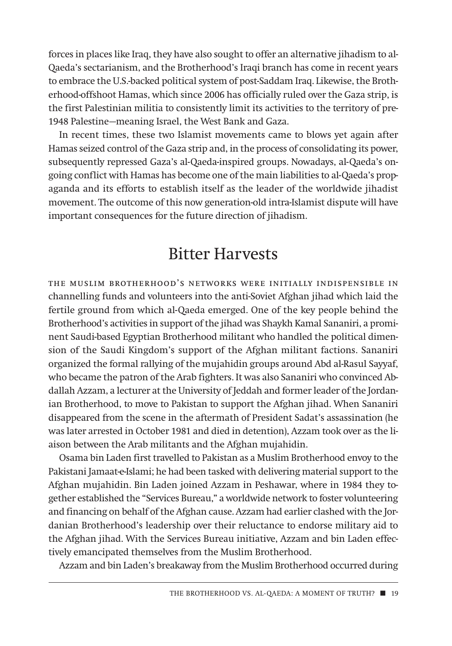forces in places like Iraq, they have also sought to offer an alternative jihadism to al-Qaeda's sectarianism, and the Brotherhood's Iraqi branch has come in recent years to embrace the U.S.-backed political system of post-Saddam Iraq. Likewise, the Brotherhood-offshoot Hamas, which since 2006 has officially ruled over the Gaza strip, is the first Palestinian militia to consistently limit its activities to the territory of pre-1948 Palestine—meaning Israel, the West Bank and Gaza.

In recent times, these two Islamist movements came to blows yet again after Hamas seized control of the Gaza strip and, in the process of consolidating its power, subsequently repressed Gaza's al-Qaeda-inspired groups. Nowadays, al-Qaeda's ongoing conflict with Hamas has become one of the main liabilities to al-Qaeda's propaganda and its efforts to establish itself as the leader of the worldwide jihadist movement. The outcome of this now generation-old intra-Islamist dispute will have important consequences for the future direction of jihadism.

#### Bitter Harvests

the muslim brotherhood's networks were initially indispensible in channelling funds and volunteers into the anti-Soviet Afghan jihad which laid the fertile ground from which al-Qaeda emerged. One of the key people behind the Brotherhood's activities in support of the jihad was Shaykh Kamal Sananiri, a prominent Saudi-based Egyptian Brotherhood militant who handled the political dimension of the Saudi Kingdom's support of the Afghan militant factions. Sananiri org anized the formal rallying of the mujahidin groups around Abd al-Rasul Sayyaf, who became the patron of the Arab fighters. It was also Sananiri who convinced Abdallah Azzam, a lecturer at the University of Jeddah and former leader of the Jordanian Brotherhood, to move to Pakistan to support the Afghan jihad. When Sananiri disappeared from the scene in the aftermath of President Sadat's assassination (he was later arrested in October 1981 and died in detention), Azzam took over as the liaison between the Arab militants and the Afghan mujahidin.

Osama bin Laden first travelled to Pakistan as a Muslim Brotherhood envoy to the Pakistani Jamaat-e-Islami; he had been tasked with delivering material support to the Afghan mujahidin. Bin Laden joined Azzam in Peshawar, where in 1984 they together established the "Services Bureau," a worldwide network to foster volunteering and financing on behalf of the Afghan cause. Azzam had earlier clashed with the Jordanian Brotherhood's leadership over their reluctance to endorse military aid to the Afghan jihad. With the Services Bureau initiative, Azzam and bin Laden effectively emancipated themselves from the Muslim Brotherhood.

Azzam and bin Laden's breakaway from the Muslim Brotherhood occurred during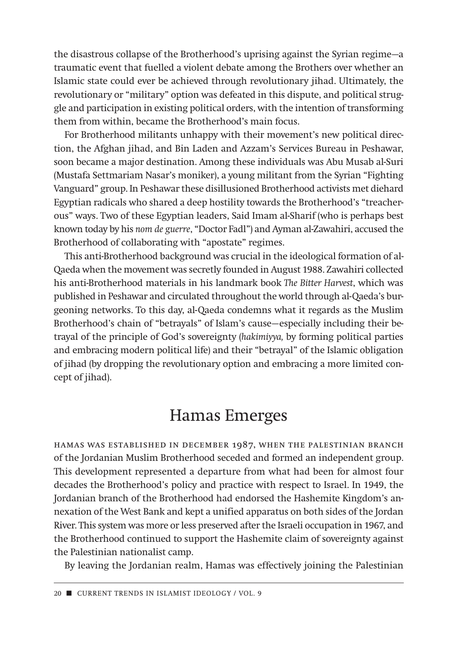the disastrous collapse of the Brotherhood's uprising against the Syrian regime—a traumatic event that fuelled a violent debate among the Brothers over whether an Islamic state could ever be achieved through revolutionary jihad. Ultimately, the revolutionary or "military" option was defeated in this dispute, and political struggle and participation in existing political orders, with the intention of transforming them from within, became the Brotherhood's main focus.

For Brotherhood militants unhappy with their movement's new political direction, the Afghan jihad, and Bin Laden and Azzam's Services Bureau in Peshawar, soon became a major destination. Among these individuals was Abu Musab al-Suri (Mustafa Settmariam Nasar's moniker), a young militant from the Syrian "Fighting Vanguard" group. In Peshawar these disillusioned Brotherhood activists met diehard Egyptian radicals who shared a deep hostility towards the Brotherhood's "treacherous" ways. Two of these Egyptian leaders, Said Imam al-Sharif (who is perhaps best known today by his *nom de guerre*, "Doctor Fadl") and Ayman al-Zawahiri, accused the Brotherhood of collaborating with "apostate" regimes.

This anti-Brotherhood background was crucial in the ideological formation of al-Qaeda when the movement was secretly founded in August 1988. Zawahiri collected his anti-Brotherhood materials in his landmark book *The Bitter Harvest*, which was published in Peshawar and circulated throughout the world through al-Qaeda's burgeoning networks. To this day, al-Qaeda condemns what it regards as the Muslim Brotherhood's chain of "betrayals" of Islam's cause—especially including their betrayal of the principle of God's sovereignty (*hakimiyya,* by forming political parties and embracing modern political life) and their "betrayal" of the Islamic obligation of jihad (by dropping the revolutionary option and embracing a more limited concept of jihad).

#### Hamas Emerges

hamas was established in december 1987, when the palestinian branch of the Jordanian Muslim Brotherhood seceded and formed an independent group. This development represented a departure from what had been for almost four decades the Brotherhood's policy and practice with respect to Israel. In 1949, the Jordanian branch of the Brotherhood had endorsed the Hashemite Kingdom's annexation of the West Bank and kept a unified apparatus on both sides of the Jordan River. This system was more or less preserved after the Israeli occupation in 1967, and the Brotherhood continued to support the Hashemite claim of sovereignty against the Palestinian nationalist camp.

By leaving the Jordanian realm, Hamas was effectively joining the Palestinian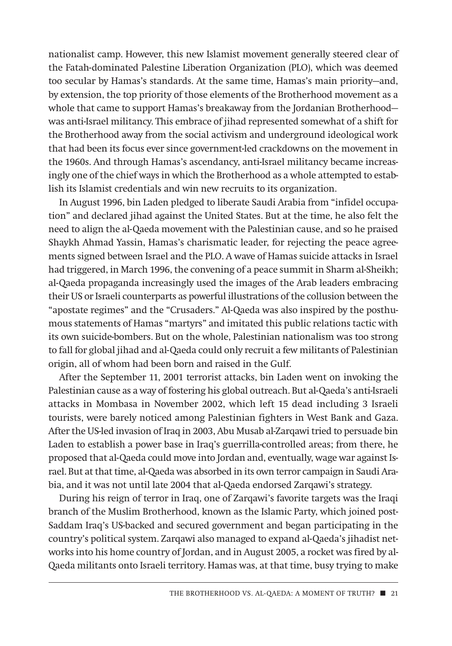nationalist camp. However, this new Islamist movement generally steered clear of the Fatah-dominated Palestine Liberation Organization (PLO), which was deemed too secular by Hamas's standards. At the same time, Hamas's main priority—and, by extension, the top priority of those elements of the Brotherhood movement as a whole that came to support Hamas's breakaway from the Jordanian Brotherhood was anti-Israel militancy. This embrace of jihad represented somewhat of a shift for the Brotherhood away from the social activism and underground ideological work that had been its focus ever since government-led crackdowns on the movement in the 1960s. And through Hamas's ascendancy, anti-Israel militancy became increasingly one of the chief ways in which the Brotherhood as a whole attempted to establish its Islamist credentials and win new recruits to its organization.

In August 1996, bin Laden pledged to liberate Saudi Arabia from "infidel occupation" and declared jihad against the United States. But at the time, he also felt the need to align the al-Qaeda movement with the Palestinian cause, and so he praised Shaykh Ahmad Yassin, Hamas's charismatic leader, for rejecting the peace agreements signed between Israel and the PLO. A wave of Hamas suicide attacks in Israel had triggered, in March 1996, the convening of a peace summit in Sharm al-Sheikh; al-Qaeda propaganda increasingly used the images of the Arab leaders embracing their US or Israeli counterparts as powerful illustrations of the collusion between the "apostate regimes" and the "Crusaders." Al-Qaeda was also inspired by the posthumous statements of Hamas "martyrs" and imitated this public relations tactic with its own suicide-bombers. But on the whole, Palestinian nationalism was too strong to fall for global jihad and al-Qaeda could only recruit a few militants of Palestinian origin, all of whom had been born and raised in the Gulf.

After the September 11, 2001 terrorist attacks, bin Laden went on invoking the Palestinian cause as a way of fostering his global outreach. But al-Qaeda's anti-Israeli attacks in Mombasa in November 2002, which left 15 dead including 3 Israeli tourists, were barely noticed among Palestinian fighters in West Bank and Gaza. After the US-led invasion of Iraq in 2003, Abu Musab al-Zarqawi tried to persuade bin Laden to establish a power base in Iraq's guerrilla-controlled areas; from there, he proposed that al-Qaeda could move into Jordan and, eventually, wage war against Israel. But at that time, al-Qaeda was absorbed in its own terror campaign in Saudi Arabia, and it was not until late 2004 that al-Qaeda endorsed Zarqawi's strategy.

During his reign of terror in Iraq, one of Zarqawi's favorite targets was the Iraqi branch of the Muslim Brotherhood, known as the Islamic Party, which joined post-Saddam Iraq's US-backed and secured government and began participating in the country's political system. Zarqawi also managed to expand al-Qaeda's jihadist networks into his home country of Jordan, and in August 2005, a rocket was fired by al-Qaeda militants onto Israeli territory. Hamas was, at that time, busy trying to make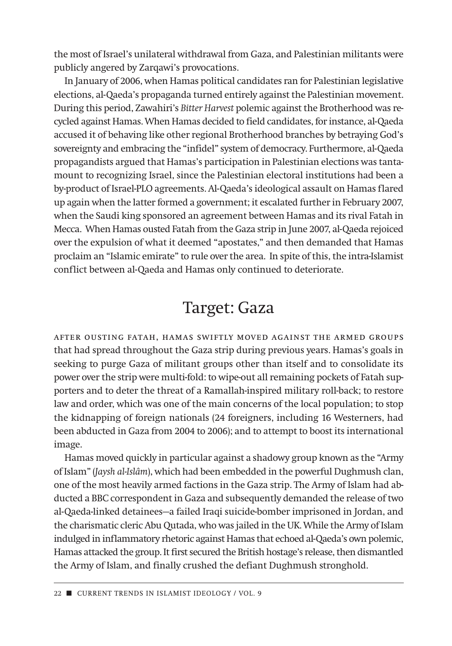the most of Israel's unilateral withdrawal from Gaza, and Palestinian militants were publicly angered by Zarqawi's provocations.

In January of 2006, when Hamas political candidates ran for Palestinian legislative elections, al-Qaeda's propaganda turned entirely against the Palestinian movement. During this period, Zawahiri's *Bitter Harvest* polemic against the Brotherhood was recycled against Hamas. When Hamas decided to field candidates, for instance, al-Qaeda accused it of behaving like other regional Brotherhood branches by betraying God's sovereignty and embracing the "infidel" system of democracy. Furthermore, al-Qaeda propagandists argued that Hamas's participation in Palestinian elections was tantamount to recognizing Israel, since the Palestinian electoral institutions had been a by-product of Israel-PLO agreements. Al-Qaeda's ideological assault on Hamas flared up again when the latter formed a government; it escalated further in February 2007, when the Saudi king sponsored an agreement between Hamas and its rival Fatah in Mecca. When Hamas ousted Fatah from the Gaza strip in June 2007, al-Qaeda rejoiced over the expulsion of what it deemed "apostates," and then demanded that Hamas proclaim an "Islamic emirate" to rule over the area. In spite of this, the intra-Islamist conflict between al-Qaeda and Hamas only continued to deteriorate.

### Target: Gaza

after ousting fatah, hamas swiftly moved against the armed groups that had spread throughout the Gaza strip during previous years. Hamas's goals in seeking to purge Gaza of militant groups other than itself and to consolidate its power over the strip were multi-fold: to wipe-out all remaining pockets of Fatah supporters and to deter the threat of a Ramallah-inspired military roll-back; to restore law and order, which was one of the main concerns of the local population; to stop the kidnapping of foreign nationals (24 foreigners, including 16 Westerners, had been abducted in Gaza from 2004 to 2006); and to attempt to boost its international image.

Hamas moved quickly in particular against a shadowy group known as the "Army of Islam" (*Jaysh al-Islâm*), which had been embedded in the powerful Dughmush clan, one of the most heavily armed factions in the Gaza strip. The Army of Islam had abducted a BBC correspondent in Gaza and subsequently demanded the release of two al-Qaeda-linked detainees—a failed Iraqi suicide-bomber imprisoned in Jordan, and the charismatic cleric Abu Qutada, who was jailed in the UK. While the Army of Islam indulged in inflammatory rhetoric against Hamas that echoed al-Qaeda's own polemic, Hamas attacked the group. It first secured the British hostage's release, then dismantled the Army of Islam, and finally crushed the defiant Dughmush stronghold.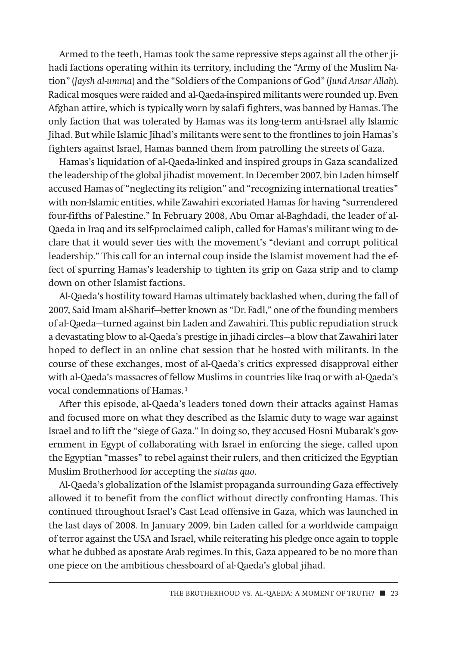Armed to the teeth, Hamas took the same repressive steps against all the other jihadi factions operating within its territory, including the "Army of the Muslim Nation" (*Jaysh al-umma*) and the "Soldiers of the Companions of God" (*Jund Ansar Allah*). Radical mosques were raided and al-Qaeda-inspired militants were rounded up. Even Afghan attire, which is typically worn by salafi fighters, was banned by Hamas. The only faction that was tolerated by Hamas was its long-term anti-Israel ally Islamic Jihad. But while Islamic Jihad's militants were sent to the frontlines to join Hamas's fighters against Israel, Hamas banned them from patrolling the streets of Gaza.

Hamas's liquidation of al-Qaeda-linked and inspired groups in Gaza scandalized the leadership of the global jihadist movement. In December 2007, bin Laden himself accused Hamas of "neglecting its religion" and "recognizing international treaties" with non-Islamic entities, while Zawahiri excoriated Hamas for having "surrendered four-fifths of Palestine." In February 2008, Abu Omar al-Baghdadi, the leader of al-Qaeda in Iraq and its self-proclaimed caliph, called for Hamas's militant wing to declare that it would sever ties with the movement's "deviant and corrupt political leadership." This call for an internal coup inside the Islamist movement had the effect of spurring Hamas's leadership to tighten its grip on Gaza strip and to clamp down on other Islamist factions.

Al-Qaeda's hostility toward Hamas ultimately backlashed when, during the fall of 2007, Said Imam al-Sharif—better known as "Dr. Fadl," one of the founding members of al-Qaeda—turned against bin Laden and Zawahiri. This public repudiation struck a devastating blow to al-Qaeda's prestige in jihadi circles—a blow that Zawahiri later hoped to deflect in an online chat session that he hosted with militants. In the course of these exchanges, most of al-Qaeda's critics expressed disapproval either with al-Qaeda's massacres of fellow Muslims in countries like Iraq or with al-Qaeda's vocal condemnations of Hamas.<sup>1</sup>

After this episode, al-Qaeda's leaders toned down their attacks against Hamas and focused more on what they described as the Islamic duty to wage war against Israel and to lift the "siege of Gaza." In doing so, they accused Hosni Mubarak's government in Egypt of collaborating with Israel in enforcing the siege, called upon the Egyptian "masses" to rebel against their rulers, and then criticized the Egyptian Muslim Brotherhood for accepting the *status quo*.

Al-Qaeda's globalization of the Islamist propaganda surrounding Gaza effectively allowed it to benefit from the conflict without directly confronting Hamas. This continued throughout Israel's Cast Lead offensive in Gaza, which was launched in the last days of 2008. In January 2009, bin Laden called for a worldwide campaign of terror against the USA and Israel, while reiterating his pledge once again to topple what he dubbed as apostate Arab regimes. In this, Gaza appeared to be no more than one piece on the ambitious chessboard of al-Qaeda's global jihad.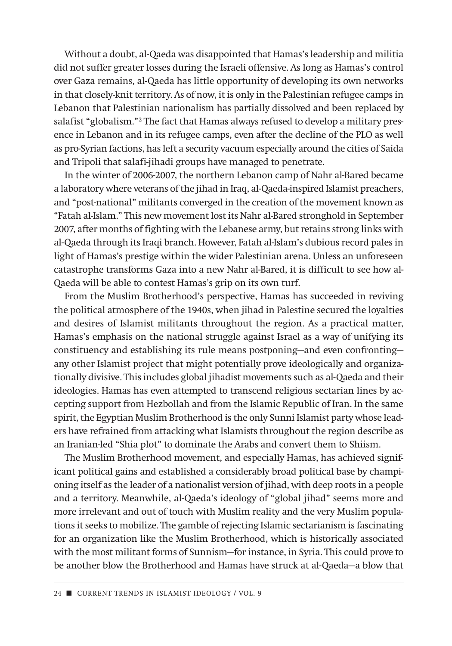Without a doubt, al-Qaeda was disappointed that Hamas's leadership and militia did not suffer greater losses during the Israeli offensive. As long as Hamas's control over Gaza remains, al-Qaeda has little opportunity of developing its own networks in that closely-knit territory. As of now, it is only in the Palestinian refugee camps in Lebanon that Palestinian nationalism has partially dissolved and been replaced by salafist "globalism."2 The fact that Hamas always refused to develop a military presence in Lebanon and in its refugee camps, even after the decline of the PLO as well as pro-Syrian factions, has left a security vacuum especially around the cities of Saida and Tripoli that salafi-jihadi groups have managed to penetrate.

In the winter of 2006-2007, the northern Lebanon camp of Nahr al-Bared became a laboratory where veterans of the jihad in Iraq, al-Qaeda-inspired Islamist preachers, and "post-national" militants converged in the creation of the movement known as "Fatah al-Islam." This new movement lost its Nahr al-Bared stronghold in September 2007, after months of fighting with the Lebanese army, but retains strong links with al-Qaeda through its Iraqi branch. However, Fatah al-Islam's dubious record pales in light of Hamas's prestige within the wider Palestinian arena. Unless an unforeseen catastrophe transforms Gaza into a new Nahr al-Bared, it is difficult to see how al-Qaeda will be able to contest Hamas's grip on its own turf.

From the Muslim Brotherhood's perspective, Hamas has succeeded in reviving the political atmosphere of the 1940s, when jihad in Palestine secured the loyalties and desires of Islamist militants throughout the region. As a practical matter, Hamas's emphasis on the national struggle against Israel as a way of unifying its constituency and establishing its rule means postponing—and even confronting any other Islamist project that might potentially prove ideologically and organizationally divisive. This includes global jihadist movements such as al-Qaeda and their ideologies. Hamas has even attempted to transcend religious sectarian lines by accepting support from Hezbollah and from the Islamic Republic of Iran. In the same spirit, the Egyptian Muslim Brotherhood is the only Sunni Islamist party whose leaders have refrained from attacking what Islamists throughout the region describe as an Iranian-led "Shia plot" to dominate the Arabs and convert them to Shiism.

The Muslim Brotherhood movement, and especially Hamas, has achieved significant political gains and established a considerably broad political base by championing itself as the leader of a nationalist version of jihad, with deep roots in a people and a territory. Meanwhile, al-Qaeda's ideology of "global jihad" seems more and more irrelevant and out of touch with Muslim reality and the very Muslim populations it seeks to mobilize. The gamble of rejecting Islamic sectarianism is fascinating for an organization like the Muslim Brotherhood, which is historically associated with the most militant forms of Sunnism—for instance, in Syria. This could prove to be another blow the Brotherhood and Hamas have struck at al-Qaeda—a blow that